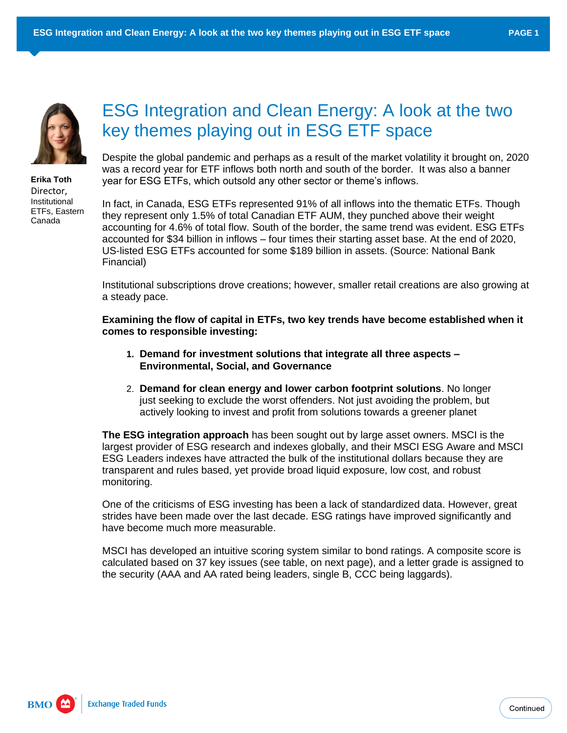

**Erika Toth** Director, Institutional ETFs, Eastern Canada

## ESG Integration and Clean Energy: A look at the two key themes playing out in ESG ETF space

Despite the global pandemic and perhaps as a result of the market volatility it brought on, 2020 was a record year for ETF inflows both north and south of the border. It was also a banner year for ESG ETFs, which outsold any other sector or theme's inflows.

In fact, in Canada, ESG ETFs represented 91% of all inflows into the thematic ETFs. Though they represent only 1.5% of total Canadian ETF AUM, they punched above their weight accounting for 4.6% of total flow. South of the border, the same trend was evident. ESG ETFs accounted for \$34 billion in inflows – four times their starting asset base. At the end of 2020, US-listed ESG ETFs accounted for some \$189 billion in assets. (Source: National Bank Financial)

Institutional subscriptions drove creations; however, smaller retail creations are also growing at a steady pace.

**Examining the flow of capital in ETFs, two key trends have become established when it comes to responsible investing:**

- **1. Demand for investment solutions that integrate all three aspects – Environmental, Social, and Governance**
- 2. **Demand for clean energy and lower carbon footprint solutions**. No longer just seeking to exclude the worst offenders. Not just avoiding the problem, but actively looking to invest and profit from solutions towards a greener planet

**The ESG integration approach** has been sought out by large asset owners. MSCI is the largest provider of ESG research and indexes globally, and their MSCI ESG Aware and MSCI ESG Leaders indexes have attracted the bulk of the institutional dollars because they are transparent and rules based, yet provide broad liquid exposure, low cost, and robust monitoring.

One of the criticisms of ESG investing has been a lack of standardized data. However, great strides have been made over the last decade. ESG ratings have improved significantly and have become much more measurable.

MSCI has developed an intuitive scoring system similar to bond ratings. A composite score is calculated based on 37 key issues (see table, on next page), and a letter grade is assigned to the security (AAA and AA rated being leaders, single B, CCC being laggards).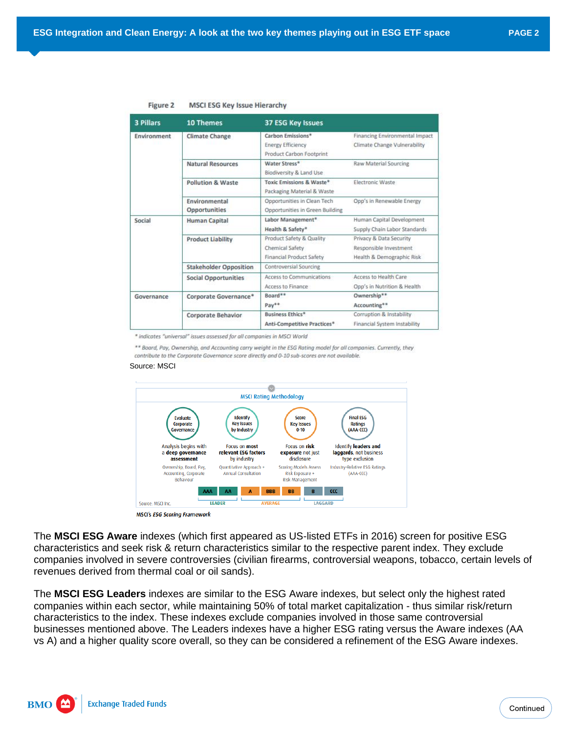| 3 Pillars   | 10 Themes                     | 37 ESG Key Issues               |                                |  |  |  |  |
|-------------|-------------------------------|---------------------------------|--------------------------------|--|--|--|--|
| Environment | Climate Change                | Carbon Emissions*               | Financing Environmental Impact |  |  |  |  |
|             |                               | <b>Energy Efficiency</b>        | Climate Change Vulnerability   |  |  |  |  |
|             |                               | Product Carbon Footprint        |                                |  |  |  |  |
|             | <b>Natural Resources</b>      | Water Stress*                   | Raw Material Sourcing          |  |  |  |  |
|             |                               | Biodiversity & Land Use         |                                |  |  |  |  |
|             | <b>Pollution &amp; Waste</b>  | Toxic Emissions & Waste*        | Electronic Waste               |  |  |  |  |
|             |                               | Packaging Material & Waste      |                                |  |  |  |  |
|             | Environmental                 | Opportunities in Clean Tech     | Opp's in Renewable Energy      |  |  |  |  |
|             | Opportunities                 | Opportunities in Green Building |                                |  |  |  |  |
| Social      | <b>Human Capital</b>          | Labor Management*               | Human Capital Development      |  |  |  |  |
|             |                               | Health & Safety*                | Supply Chain Labor Standards   |  |  |  |  |
|             | <b>Product Liability</b>      | Product Safety & Quality        | Privacy & Data Security        |  |  |  |  |
|             |                               | Chemical Safety                 | Responsible Investment         |  |  |  |  |
|             |                               | <b>Financial Product Safety</b> | Health & Demographic Risk      |  |  |  |  |
|             | <b>Stakeholder Opposition</b> | Controversial Sourcing          |                                |  |  |  |  |
|             | <b>Social Opportunities</b>   | Access to Communications        | Access to Health Care          |  |  |  |  |
|             |                               | Access to Finance               | Opp's in Nutrition & Health    |  |  |  |  |
| Governance  | Corporate Governance*         | Board <sup>8*</sup>             | Ownership**                    |  |  |  |  |
|             |                               | Pay**                           | Accounting**                   |  |  |  |  |
|             | <b>Corporate Behavior</b>     | <b>Business Ethics*</b>         | Corruption & Instability       |  |  |  |  |
|             |                               | Anti-Competitive Practices*     | Financial System Instability   |  |  |  |  |

## Figure 2 **MSCI ESG Key Issue Hierarchy**

\* indicates "universal" issues assessed for all companies in MSCI World

\*\* Board, Pay, Ownership, and Accounting carry weight in the ESG Rating model for all companies. Currently, they contribute to the Corporate Governance score directly and 0-10 sub-scores are not available.

## Source: MSCI



The **MSCI ESG Aware** indexes (which first appeared as US-listed ETFs in 2016) screen for positive ESG characteristics and seek risk & return characteristics similar to the respective parent index. They exclude companies involved in severe controversies (civilian firearms, controversial weapons, tobacco, certain levels of revenues derived from thermal coal or oil sands).

The **MSCI ESG Leaders** indexes are similar to the ESG Aware indexes, but select only the highest rated companies within each sector, while maintaining 50% of total market capitalization - thus similar risk/return characteristics to the index. These indexes exclude companies involved in those same controversial businesses mentioned above. The Leaders indexes have a higher ESG rating versus the Aware indexes (AA vs A) and a higher quality score overall, so they can be considered a refinement of the ESG Aware indexes.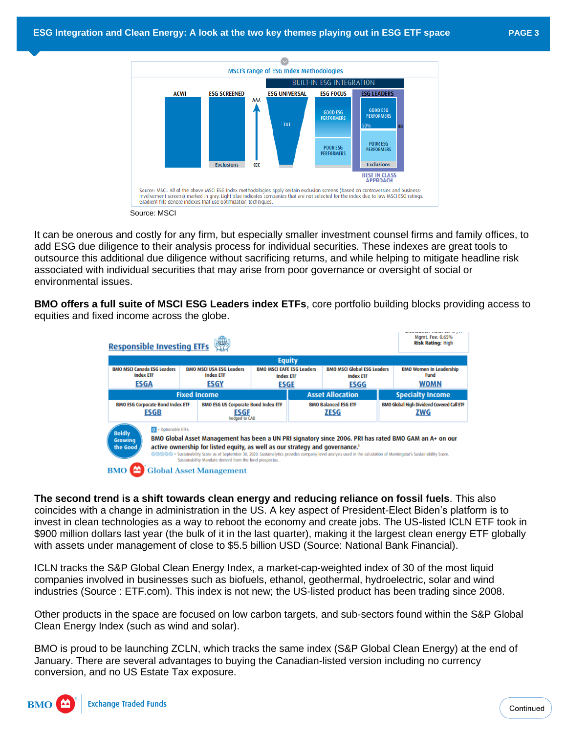

It can be onerous and costly for any firm, but especially smaller investment counsel firms and family offices, to add ESG due diligence to their analysis process for individual securities. These indexes are great tools to outsource this additional due diligence without sacrificing returns, and while helping to mitigate headline risk associated with individual securities that may arise from poor governance or oversight of social or environmental issues.

**BMO offers a full suite of MSCI ESG Leaders index ETFs**, core portfolio building blocks providing access to equities and fixed income across the globe.

| <b>Responsible Investing ETFs</b>                                                                                                           | Mgmt. Fee: 0.65%<br><b>Risk Rating: High</b> |                                                                                                                                                      |  |                                                                |                                                                                                                                                                      |                                                              |                                                                                                        |  |  |  |  |
|---------------------------------------------------------------------------------------------------------------------------------------------|----------------------------------------------|------------------------------------------------------------------------------------------------------------------------------------------------------|--|----------------------------------------------------------------|----------------------------------------------------------------------------------------------------------------------------------------------------------------------|--------------------------------------------------------------|--------------------------------------------------------------------------------------------------------|--|--|--|--|
| <b>Equity</b>                                                                                                                               |                                              |                                                                                                                                                      |  |                                                                |                                                                                                                                                                      |                                                              |                                                                                                        |  |  |  |  |
| <b>BMO MSCI Canada ESG Leaders</b><br><b>BMO MSCI USA ESG Leaders</b><br><b>Index ETF</b><br><b>Index ETF</b><br><b>ESGA</b><br><b>ESGY</b> |                                              | <b>BMO MSCI EAFE ESG Leaders</b><br><b>Index ETF</b><br>ESGE                                                                                         |  | <b>BMO MSCI Global ESG Leaders</b><br><b>Index ETF</b><br>ESGG |                                                                                                                                                                      | <b>BMO Women In Leadership</b><br><b>Fund</b><br><b>WOMN</b> |                                                                                                        |  |  |  |  |
| <b>Fixed Income</b>                                                                                                                         |                                              |                                                                                                                                                      |  |                                                                | <b>Asset Allocation</b>                                                                                                                                              |                                                              | <b>Specialty Income</b>                                                                                |  |  |  |  |
| <b>BMO ESG Corporate Bond Index ETF</b><br>ESGB                                                                                             |                                              | <b>BMO ESG US Corporate Bond Index ETF</b><br>ESGF<br>hedged to CAD                                                                                  |  | <b>BMO Balanced ESG ETF</b><br>ZESG                            |                                                                                                                                                                      | BMO Global High Dividend Covered Call ETF<br>ZWG             |                                                                                                        |  |  |  |  |
| $\boxed{0}$ = Optionable ETFs<br><b>Boldly</b><br><b>Growing</b><br>the Good                                                                |                                              | active ownership for listed equity, as well as our strategy and governance. <sup>1</sup><br>Sustainability Mandate derived from the fund prospectus. |  |                                                                | @@@@@ = Sustainability Score as of September 30, 2020. Sustainalytics provides company-level analysis used in the calculation of Morningstar's Sustainability Score. |                                                              | BMO Global Asset Management has been a UN PRI signatory since 2006. PRI has rated BMO GAM an A+ on our |  |  |  |  |
| <b>BMO</b>                                                                                                                                  |                                              | <b>Global Asset Management</b>                                                                                                                       |  |                                                                |                                                                                                                                                                      |                                                              |                                                                                                        |  |  |  |  |

**The second trend is a shift towards clean energy and reducing reliance on fossil fuels**. This also coincides with a change in administration in the US. A key aspect of President-Elect Biden's platform is to invest in clean technologies as a way to reboot the economy and create jobs. The US-listed ICLN ETF took in \$900 million dollars last year (the bulk of it in the last quarter), making it the largest clean energy ETF globally with assets under management of close to \$5.5 billion USD (Source: National Bank Financial).

ICLN tracks the S&P Global Clean Energy Index, a market-cap-weighted index of 30 of the most liquid companies involved in businesses such as biofuels, ethanol, geothermal, hydroelectric, solar and wind industries (Source : ETF.com). This index is not new; the US-listed product has been trading since 2008.

Other products in the space are focused on low carbon targets, and sub-sectors found within the S&P Global Clean Energy Index (such as wind and solar).

BMO is proud to be launching ZCLN, which tracks the same index (S&P Global Clean Energy) at the end of January. There are several advantages to buying the Canadian-listed version including no currency conversion, and no US Estate Tax exposure.

**BMO**